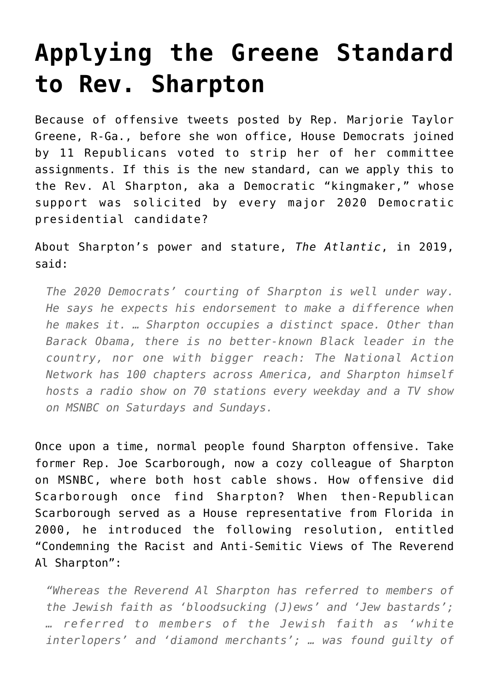## **[Applying the Greene Standard](https://intellectualtakeout.org/2021/02/applying-the-greene-standard-to-rev-sharpton/) [to Rev. Sharpton](https://intellectualtakeout.org/2021/02/applying-the-greene-standard-to-rev-sharpton/)**

Because of offensive tweets posted by Rep. Marjorie Taylor Greene, R-Ga., before she won office, House Democrats joined by 11 Republicans voted to strip her of her committee assignments. If this is the new standard, can we apply this to the Rev. Al Sharpton, aka a Democratic "kingmaker," whose support was solicited by every major 2020 Democratic presidential candidate?

About Sharpton's power and stature, *The Atlantic*, in 2019, said:

*The 2020 Democrats' courting of Sharpton is well under way. He says he expects his endorsement to make a difference when he makes it. … Sharpton occupies a distinct space. Other than Barack Obama, there is no better-known Black leader in the country, nor one with bigger reach: The National Action Network has 100 chapters across America, and Sharpton himself hosts a radio show on 70 stations every weekday and a TV show on MSNBC on Saturdays and Sundays.* 

Once upon a time, normal people found Sharpton offensive. Take former Rep. Joe Scarborough, now a cozy colleague of Sharpton on MSNBC, where both host cable shows. How offensive did Scarborough once find Sharpton? When then-Republican Scarborough served as a House representative from Florida in 2000, he introduced the following resolution, entitled "Condemning the Racist and Anti-Semitic Views of The Reverend Al Sharpton":

*"Whereas the Reverend Al Sharpton has referred to members of the Jewish faith as 'bloodsucking (J)ews' and 'Jew bastards'; … referred to members of the Jewish faith as 'white interlopers' and 'diamond merchants'; … was found guilty of*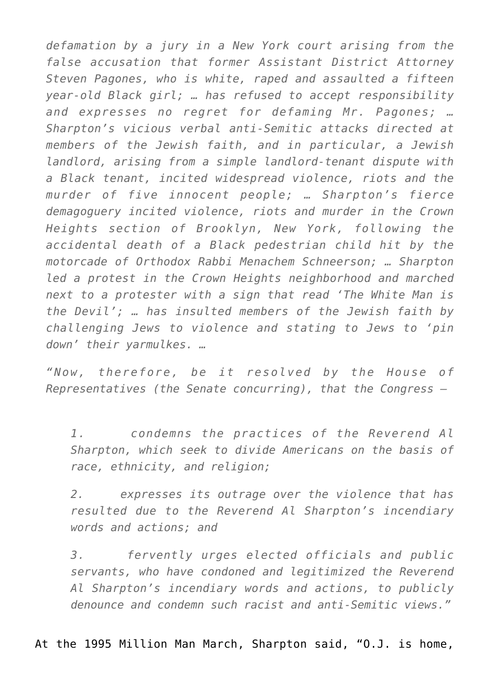*defamation by a jury in a New York court arising from the false accusation that former Assistant District Attorney Steven Pagones, who is white, raped and assaulted a fifteen year-old Black girl; … has refused to accept responsibility and expresses no regret for defaming Mr. Pagones; … Sharpton's vicious verbal anti-Semitic attacks directed at members of the Jewish faith, and in particular, a Jewish landlord, arising from a simple landlord-tenant dispute with a Black tenant, incited widespread violence, riots and the murder of five innocent people; … Sharpton's fierce demagoguery incited violence, riots and murder in the Crown Heights section of Brooklyn, New York, following the accidental death of a Black pedestrian child hit by the motorcade of Orthodox Rabbi Menachem Schneerson; … Sharpton led a protest in the Crown Heights neighborhood and marched next to a protester with a sign that read 'The White Man is the Devil'; … has insulted members of the Jewish faith by challenging Jews to violence and stating to Jews to 'pin down' their yarmulkes. …*

*"Now, therefore, be it resolved by the House of Representatives (the Senate concurring), that the Congress —* 

*1. condemns the practices of the Reverend Al Sharpton, which seek to divide Americans on the basis of race, ethnicity, and religion;* 

*2. expresses its outrage over the violence that has resulted due to the Reverend Al Sharpton's incendiary words and actions; and* 

*3. fervently urges elected officials and public servants, who have condoned and legitimized the Reverend Al Sharpton's incendiary words and actions, to publicly denounce and condemn such racist and anti-Semitic views."*

At the 1995 Million Man March, Sharpton said, "O.J. is home,